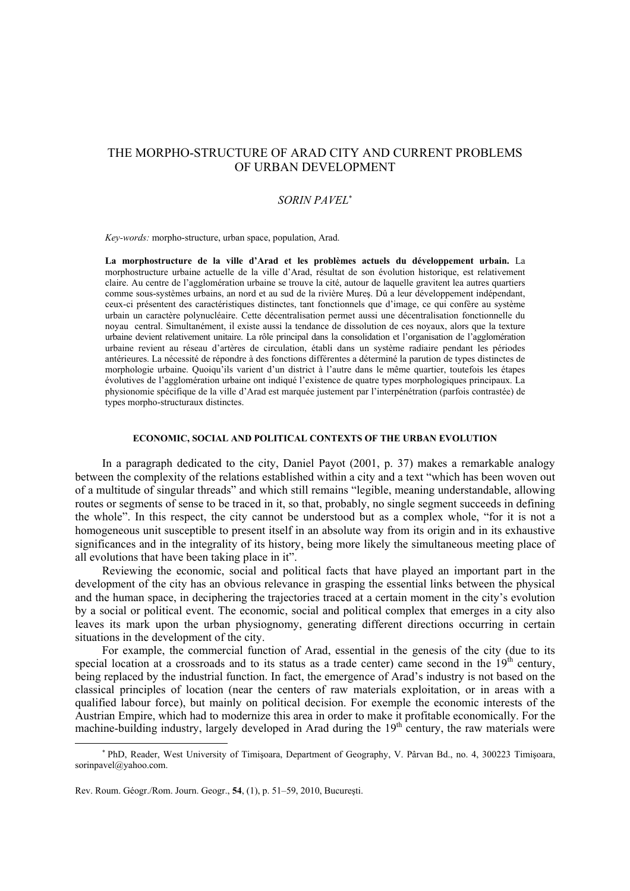# THE MORPHO-STRUCTURE OF ARAD CITY AND CURRENT PROBLEMS OF URBAN DEVELOPMENT

# *SORIN PAVEL*<sup>∗</sup>

*Key-words:* morpho-structure, urban space, population, Arad.

**La morphostructure de la ville d'Arad et les problèmes actuels du développement urbain.** La morphostructure urbaine actuelle de la ville d'Arad, résultat de son évolution historique, est relativement claire. Au centre de l'agglomération urbaine se trouve la cité, autour de laquelle gravitent lea autres quartiers comme sous-systèmes urbains, an nord et au sud de la rivière Mureş. Dû a leur développement indépendant, ceux-ci présentent des caractéristiques distinctes, tant fonctionnels que d'image, ce qui confère au système urbain un caractère polynucléaire. Cette décentralisation permet aussi une décentralisation fonctionnelle du noyau central. Simultanément, il existe aussi la tendance de dissolution de ces noyaux, alors que la texture urbaine devient relativement unitaire. La rôle principal dans la consolidation et l'organisation de l'agglomération urbaine revient au réseau d'artères de circulation, établi dans un système radiaire pendant les périodes antérieures. La nécessité de répondre à des fonctions différentes a déterminé la parution de types distinctes de morphologie urbaine. Quoiqu'ils varient d'un district à l'autre dans le même quartier, toutefois les étapes évolutives de l'agglomération urbaine ont indiqué l'existence de quatre types morphologiques principaux. La physionomie spécifique de la ville d'Arad est marquée justement par l'interpénétration (parfois contrastée) de types morpho-structuraux distinctes.

## **ECONOMIC, SOCIAL AND POLITICAL CONTEXTS OF THE URBAN EVOLUTION**

In a paragraph dedicated to the city, Daniel Payot (2001, p. 37) makes a remarkable analogy between the complexity of the relations established within a city and a text "which has been woven out of a multitude of singular threads" and which still remains "legible, meaning understandable, allowing routes or segments of sense to be traced in it, so that, probably, no single segment succeeds in defining the whole". In this respect, the city cannot be understood but as a complex whole, "for it is not a homogeneous unit susceptible to present itself in an absolute way from its origin and in its exhaustive significances and in the integrality of its history, being more likely the simultaneous meeting place of all evolutions that have been taking place in it".

Reviewing the economic, social and political facts that have played an important part in the development of the city has an obvious relevance in grasping the essential links between the physical and the human space, in deciphering the trajectories traced at a certain moment in the city's evolution by a social or political event. The economic, social and political complex that emerges in a city also leaves its mark upon the urban physiognomy, generating different directions occurring in certain situations in the development of the city.

For example, the commercial function of Arad, essential in the genesis of the city (due to its special location at a crossroads and to its status as a trade center) came second in the  $19<sup>th</sup>$  century, being replaced by the industrial function. In fact, the emergence of Arad's industry is not based on the classical principles of location (near the centers of raw materials exploitation, or in areas with a qualified labour force), but mainly on political decision. For exemple the economic interests of the Austrian Empire, which had to modernize this area in order to make it profitable economically. For the machine-building industry, largely developed in Arad during the  $19<sup>th</sup>$  century, the raw materials were

 $\overline{\phantom{a}}$ 

<sup>∗</sup> PhD, Reader, West University of Timişoara, Department of Geography, V. Pârvan Bd., no. 4, 300223 Timişoara, sorinpavel@yahoo.com.

Rev. Roum. Géogr./Rom. Journ. Geogr., **54**, (1), p. 51–59, 2010, Bucureşti.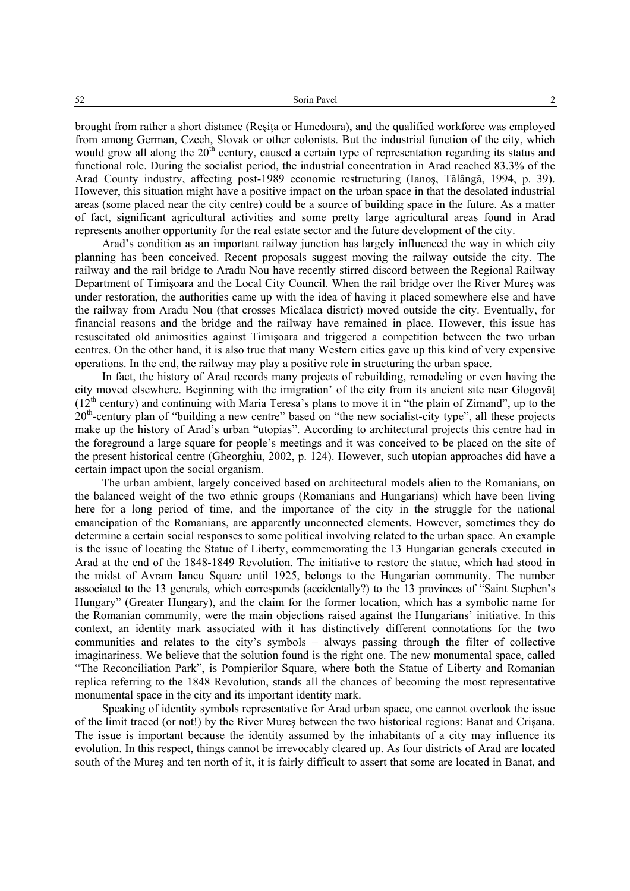brought from rather a short distance (Resita or Hunedoara), and the qualified workforce was employed from among German, Czech, Slovak or other colonists. But the industrial function of the city, which would grow all along the  $20<sup>th</sup>$  century, caused a certain type of representation regarding its status and functional role. During the socialist period, the industrial concentration in Arad reached 83.3% of the Arad County industry, affecting post-1989 economic restructuring (Ianoş, Tălângă, 1994, p. 39). However, this situation might have a positive impact on the urban space in that the desolated industrial areas (some placed near the city centre) could be a source of building space in the future. As a matter of fact, significant agricultural activities and some pretty large agricultural areas found in Arad represents another opportunity for the real estate sector and the future development of the city.

Arad's condition as an important railway junction has largely influenced the way in which city planning has been conceived. Recent proposals suggest moving the railway outside the city. The railway and the rail bridge to Aradu Nou have recently stirred discord between the Regional Railway Department of Timişoara and the Local City Council. When the rail bridge over the River Mureş was under restoration, the authorities came up with the idea of having it placed somewhere else and have the railway from Aradu Nou (that crosses Micălaca district) moved outside the city. Eventually, for financial reasons and the bridge and the railway have remained in place. However, this issue has resuscitated old animosities against Timişoara and triggered a competition between the two urban centres. On the other hand, it is also true that many Western cities gave up this kind of very expensive operations. In the end, the railway may play a positive role in structuring the urban space.

In fact, the history of Arad records many projects of rebuilding, remodeling or even having the city moved elsewhere. Beginning with the imigration' of the city from its ancient site near Glogovăţ  $(12<sup>th</sup>$  century) and continuing with Maria Teresa's plans to move it in "the plain of Zimand", up to the 20<sup>th</sup>-century plan of "building a new centre" based on "the new socialist-city type", all these projects make up the history of Arad's urban "utopias". According to architectural projects this centre had in the foreground a large square for people's meetings and it was conceived to be placed on the site of the present historical centre (Gheorghiu, 2002, p. 124). However, such utopian approaches did have a certain impact upon the social organism.

The urban ambient, largely conceived based on architectural models alien to the Romanians, on the balanced weight of the two ethnic groups (Romanians and Hungarians) which have been living here for a long period of time, and the importance of the city in the struggle for the national emancipation of the Romanians, are apparently unconnected elements. However, sometimes they do determine a certain social responses to some political involving related to the urban space. An example is the issue of locating the Statue of Liberty, commemorating the 13 Hungarian generals executed in Arad at the end of the 1848-1849 Revolution. The initiative to restore the statue, which had stood in the midst of Avram Iancu Square until 1925, belongs to the Hungarian community. The number associated to the 13 generals, which corresponds (accidentally?) to the 13 provinces of "Saint Stephen's Hungary" (Greater Hungary), and the claim for the former location, which has a symbolic name for the Romanian community, were the main objections raised against the Hungarians' initiative. In this context, an identity mark associated with it has distinctively different connotations for the two communities and relates to the city's symbols – always passing through the filter of collective imaginariness. We believe that the solution found is the right one. The new monumental space, called "The Reconciliation Park", is Pompierilor Square, where both the Statue of Liberty and Romanian replica referring to the 1848 Revolution, stands all the chances of becoming the most representative monumental space in the city and its important identity mark.

Speaking of identity symbols representative for Arad urban space, one cannot overlook the issue of the limit traced (or not!) by the River Mureş between the two historical regions: Banat and Crişana. The issue is important because the identity assumed by the inhabitants of a city may influence its evolution. In this respect, things cannot be irrevocably cleared up. As four districts of Arad are located south of the Mureş and ten north of it, it is fairly difficult to assert that some are located in Banat, and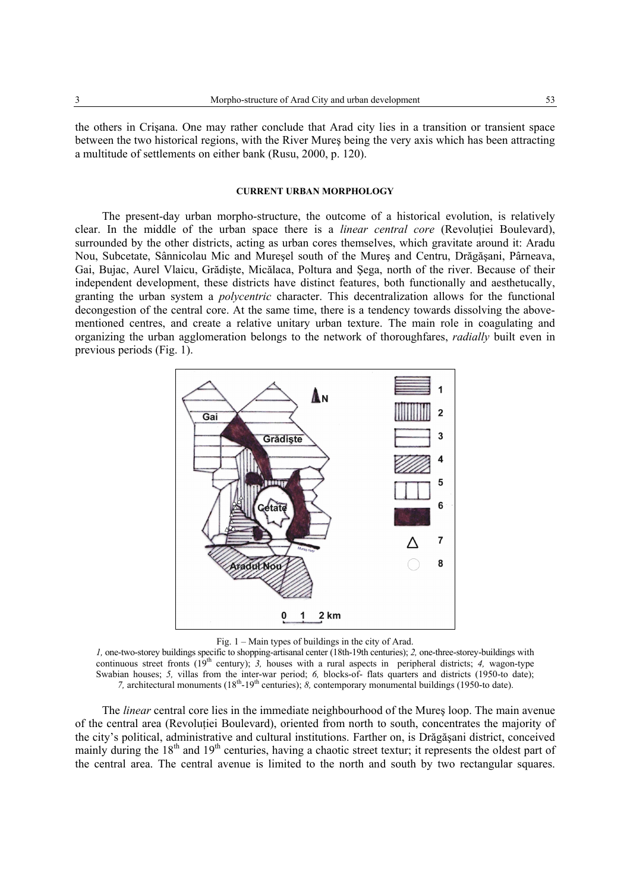the others in Crişana. One may rather conclude that Arad city lies in a transition or transient space between the two historical regions, with the River Mureş being the very axis which has been attracting a multitude of settlements on either bank (Rusu, 2000, p. 120).

## **CURRENT URBAN MORPHOLOGY**

The present-day urban morpho-structure, the outcome of a historical evolution, is relatively clear. In the middle of the urban space there is a *linear central core* (Revolutiei Boulevard), surrounded by the other districts, acting as urban cores themselves, which gravitate around it: Aradu Nou, Subcetate, Sânnicolau Mic and Mureşel south of the Mureş and Centru, Drăgăşani, Pârneava, Gai, Bujac, Aurel Vlaicu, Grădişte, Micălaca, Poltura and Şega, north of the river. Because of their independent development, these districts have distinct features, both functionally and aesthetucally, granting the urban system a *polycentric* character. This decentralization allows for the functional decongestion of the central core. At the same time, there is a tendency towards dissolving the abovementioned centres, and create a relative unitary urban texture. The main role in coagulating and organizing the urban agglomeration belongs to the network of thoroughfares, *radially* built even in previous periods (Fig. 1).



Fig. 1 – Main types of buildings in the city of Arad.

*1,* one-two-storey buildings specific to shopping-artisanal center (18th-19th centuries); *2,* one-three-storey-buildings with continuous street fronts (19<sup>th</sup> century); 3, houses with a rural aspects in peripheral districts; 4, wagon-type Swabian houses; 5, villas from the inter-war period; 6, blocks-of- flats quarters and districts (1950-to date); *7,* architectural monuments (18<sup>th</sup>-19<sup>th</sup> centuries); *8,* contemporary monumental buildings (1950-to date).

The *linear* central core lies in the immediate neighbourhood of the Mureş loop. The main avenue of the central area (Revolutiei Boulevard), oriented from north to south, concentrates the majority of the city's political, administrative and cultural institutions. Farther on, is Drăgăşani district, conceived mainly during the 18<sup>th</sup> and 19<sup>th</sup> centuries, having a chaotic street textur; it represents the oldest part of the central area. The central avenue is limited to the north and south by two rectangular squares.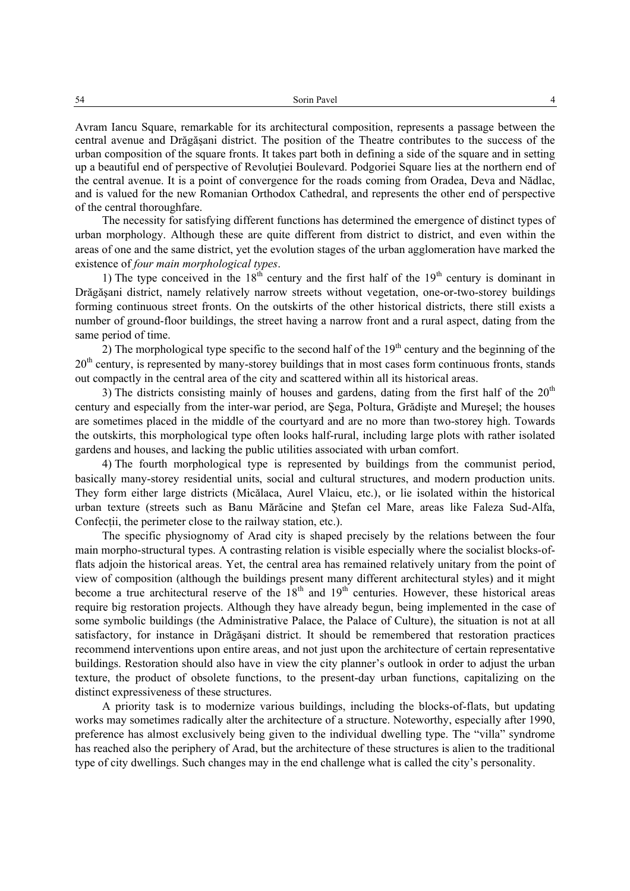Avram Iancu Square, remarkable for its architectural composition, represents a passage between the central avenue and Drăgăşani district. The position of the Theatre contributes to the success of the urban composition of the square fronts. It takes part both in defining a side of the square and in setting up a beautiful end of perspective of Revolutiei Boulevard. Podgoriei Square lies at the northern end of the central avenue. It is a point of convergence for the roads coming from Oradea, Deva and Nădlac, and is valued for the new Romanian Orthodox Cathedral, and represents the other end of perspective of the central thoroughfare.

The necessity for satisfying different functions has determined the emergence of distinct types of urban morphology. Although these are quite different from district to district, and even within the areas of one and the same district, yet the evolution stages of the urban agglomeration have marked the existence of *four main morphological types*.

1) The type conceived in the  $18<sup>th</sup>$  century and the first half of the  $19<sup>th</sup>$  century is dominant in Drăgăşani district, namely relatively narrow streets without vegetation, one-or-two-storey buildings forming continuous street fronts. On the outskirts of the other historical districts, there still exists a number of ground-floor buildings, the street having a narrow front and a rural aspect, dating from the same period of time.

2) The morphological type specific to the second half of the  $19<sup>th</sup>$  century and the beginning of the 20<sup>th</sup> century, is represented by many-storey buildings that in most cases form continuous fronts, stands out compactly in the central area of the city and scattered within all its historical areas.

3) The districts consisting mainly of houses and gardens, dating from the first half of the  $20<sup>th</sup>$ century and especially from the inter-war period, are Şega, Poltura, Grădişte and Mureşel; the houses are sometimes placed in the middle of the courtyard and are no more than two-storey high. Towards the outskirts, this morphological type often looks half-rural, including large plots with rather isolated gardens and houses, and lacking the public utilities associated with urban comfort.

4) The fourth morphological type is represented by buildings from the communist period, basically many-storey residential units, social and cultural structures, and modern production units. They form either large districts (Micălaca, Aurel Vlaicu, etc.), or lie isolated within the historical urban texture (streets such as Banu Mărăcine and Ştefan cel Mare, areas like Faleza Sud-Alfa, Confectii, the perimeter close to the railway station, etc.).

The specific physiognomy of Arad city is shaped precisely by the relations between the four main morpho-structural types. A contrasting relation is visible especially where the socialist blocks-offlats adjoin the historical areas. Yet, the central area has remained relatively unitary from the point of view of composition (although the buildings present many different architectural styles) and it might become a true architectural reserve of the  $18<sup>th</sup>$  and  $19<sup>th</sup>$  centuries. However, these historical areas require big restoration projects. Although they have already begun, being implemented in the case of some symbolic buildings (the Administrative Palace, the Palace of Culture), the situation is not at all satisfactory, for instance in Drăgăşani district. It should be remembered that restoration practices recommend interventions upon entire areas, and not just upon the architecture of certain representative buildings. Restoration should also have in view the city planner's outlook in order to adjust the urban texture, the product of obsolete functions, to the present-day urban functions, capitalizing on the distinct expressiveness of these structures.

A priority task is to modernize various buildings, including the blocks-of-flats, but updating works may sometimes radically alter the architecture of a structure. Noteworthy, especially after 1990, preference has almost exclusively being given to the individual dwelling type. The "villa" syndrome has reached also the periphery of Arad, but the architecture of these structures is alien to the traditional type of city dwellings. Such changes may in the end challenge what is called the city's personality.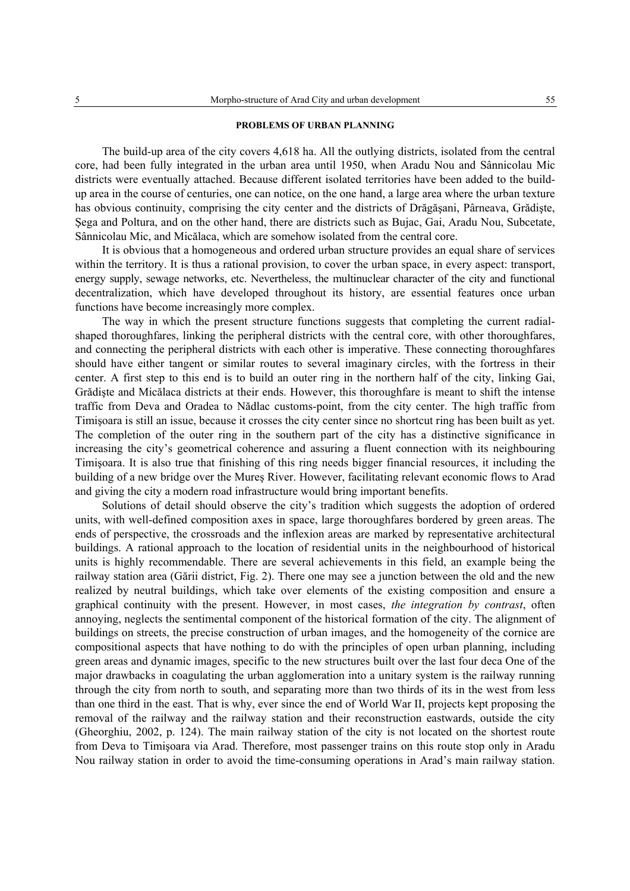#### **PROBLEMS OF URBAN PLANNING**

The build-up area of the city covers 4,618 ha. All the outlying districts, isolated from the central core, had been fully integrated in the urban area until 1950, when Aradu Nou and Sânnicolau Mic districts were eventually attached. Because different isolated territories have been added to the buildup area in the course of centuries, one can notice, on the one hand, a large area where the urban texture has obvious continuity, comprising the city center and the districts of Drăgăşani, Pârneava, Grădişte, Şega and Poltura, and on the other hand, there are districts such as Bujac, Gai, Aradu Nou, Subcetate, Sânnicolau Mic, and Micălaca, which are somehow isolated from the central core.

It is obvious that a homogeneous and ordered urban structure provides an equal share of services within the territory. It is thus a rational provision, to cover the urban space, in every aspect: transport, energy supply, sewage networks, etc. Nevertheless, the multinuclear character of the city and functional decentralization, which have developed throughout its history, are essential features once urban functions have become increasingly more complex.

The way in which the present structure functions suggests that completing the current radialshaped thoroughfares, linking the peripheral districts with the central core, with other thoroughfares, and connecting the peripheral districts with each other is imperative. These connecting thoroughfares should have either tangent or similar routes to several imaginary circles, with the fortress in their center. A first step to this end is to build an outer ring in the northern half of the city, linking Gai, Grădişte and Micălaca districts at their ends. However, this thoroughfare is meant to shift the intense traffic from Deva and Oradea to Nădlac customs-point, from the city center. The high traffic from Timişoara is still an issue, because it crosses the city center since no shortcut ring has been built as yet. The completion of the outer ring in the southern part of the city has a distinctive significance in increasing the city's geometrical coherence and assuring a fluent connection with its neighbouring Timişoara. It is also true that finishing of this ring needs bigger financial resources, it including the building of a new bridge over the Mureş River. However, facilitating relevant economic flows to Arad and giving the city a modern road infrastructure would bring important benefits.

Solutions of detail should observe the city's tradition which suggests the adoption of ordered units, with well-defined composition axes in space, large thoroughfares bordered by green areas. The ends of perspective, the crossroads and the inflexion areas are marked by representative architectural buildings. A rational approach to the location of residential units in the neighbourhood of historical units is highly recommendable. There are several achievements in this field, an example being the railway station area (Gării district, Fig. 2). There one may see a junction between the old and the new realized by neutral buildings, which take over elements of the existing composition and ensure a graphical continuity with the present. However, in most cases, *the integration by contrast*, often annoying, neglects the sentimental component of the historical formation of the city. The alignment of buildings on streets, the precise construction of urban images, and the homogeneity of the cornice are compositional aspects that have nothing to do with the principles of open urban planning, including green areas and dynamic images, specific to the new structures built over the last four deca One of the major drawbacks in coagulating the urban agglomeration into a unitary system is the railway running through the city from north to south, and separating more than two thirds of its in the west from less than one third in the east. That is why, ever since the end of World War II, projects kept proposing the removal of the railway and the railway station and their reconstruction eastwards, outside the city (Gheorghiu, 2002, p. 124). The main railway station of the city is not located on the shortest route from Deva to Timişoara via Arad. Therefore, most passenger trains on this route stop only in Aradu Nou railway station in order to avoid the time-consuming operations in Arad's main railway station.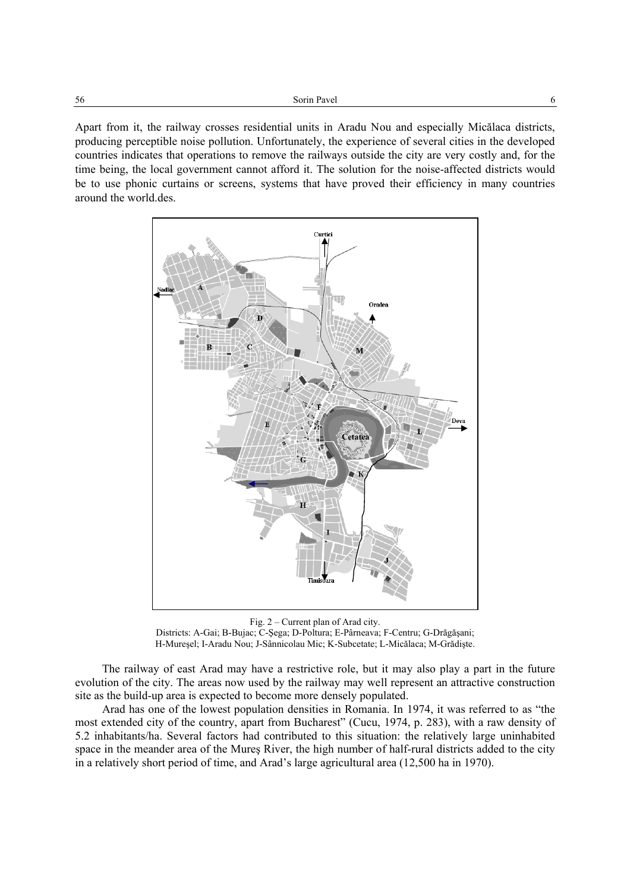Apart from it, the railway crosses residential units in Aradu Nou and especially Micălaca districts, producing perceptible noise pollution. Unfortunately, the experience of several cities in the developed countries indicates that operations to remove the railways outside the city are very costly and, for the time being, the local government cannot afford it. The solution for the noise-affected districts would be to use phonic curtains or screens, systems that have proved their efficiency in many countries around the world.des.



Fig. 2 – Current plan of Arad city. Districts: A-Gai; B-Bujac; C-Şega; D-Poltura; E-Pârneava; F-Centru; G-Drăgăşani; H-Mureşel; I-Aradu Nou; J-Sânnicolau Mic; K-Subcetate; L-Micălaca; M-Grădişte.

The railway of east Arad may have a restrictive role, but it may also play a part in the future evolution of the city. The areas now used by the railway may well represent an attractive construction site as the build-up area is expected to become more densely populated.

Arad has one of the lowest population densities in Romania. In 1974, it was referred to as "the most extended city of the country, apart from Bucharest" (Cucu, 1974, p. 283), with a raw density of 5.2 inhabitants/ha. Several factors had contributed to this situation: the relatively large uninhabited space in the meander area of the Mureş River, the high number of half-rural districts added to the city in a relatively short period of time, and Arad's large agricultural area (12,500 ha in 1970).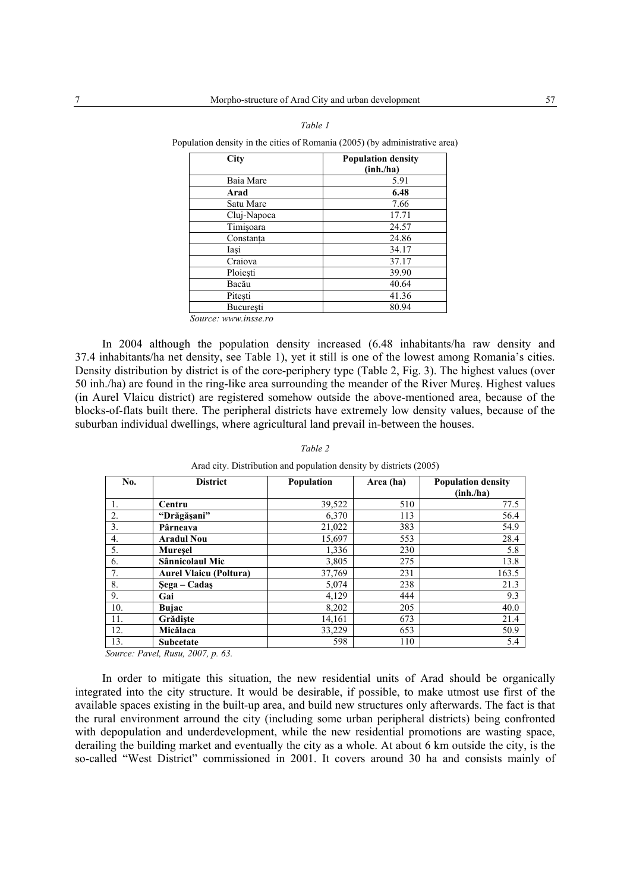| City        | <b>Population density</b><br>(inh./ha) |  |  |
|-------------|----------------------------------------|--|--|
| Baia Mare   | 5.91                                   |  |  |
| Arad        | 6.48                                   |  |  |
| Satu Mare   | 7.66                                   |  |  |
| Cluj-Napoca | 17.71                                  |  |  |
| Timișoara   | 24.57                                  |  |  |
| Constanta   | 24.86                                  |  |  |
| Iasi        | 34.17                                  |  |  |
| Craiova     | 37.17                                  |  |  |
| Ploiești    | 39.90                                  |  |  |
| Bacău       | 40.64                                  |  |  |
| Pitești     | 41.36                                  |  |  |
| Bucuresti   | 80.94                                  |  |  |

| Table 1                                                                     |
|-----------------------------------------------------------------------------|
| Population density in the cities of Romania (2005) (by administrative area) |

*Source: www.insse.ro* 

In 2004 although the population density increased (6.48 inhabitants/ha raw density and 37.4 inhabitants/ha net density, see Table 1), yet it still is one of the lowest among Romania's cities. Density distribution by district is of the core-periphery type (Table 2, Fig. 3). The highest values (over 50 inh./ha) are found in the ring-like area surrounding the meander of the River Mureş. Highest values (in Aurel Vlaicu district) are registered somehow outside the above-mentioned area, because of the blocks-of-flats built there. The peripheral districts have extremely low density values, because of the suburban individual dwellings, where agricultural land prevail in-between the houses.

| No. | <b>District</b>               | Population | Area (ha) | <b>Population density</b><br>(inh./ha) |
|-----|-------------------------------|------------|-----------|----------------------------------------|
|     | Centru                        | 39,522     | 510       | 77.5                                   |
| 2.  | "Drăgășani"                   | 6,370      | 113       | 56.4                                   |
| 3.  | Pârneava                      | 21,022     | 383       | 54.9                                   |
| 4.  | <b>Aradul Nou</b>             | 15,697     | 553       | 28.4                                   |
| 5.  | <b>Muresel</b>                | 1,336      | 230       | 5.8                                    |
| 6.  | Sânnicolaul Mic               | 3,805      | 275       | 13.8                                   |
| 7.  | <b>Aurel Vlaicu (Poltura)</b> | 37,769     | 231       | 163.5                                  |
| 8.  | Sega – Cadaş                  | 5,074      | 238       | 21.3                                   |
| 9.  | Gai                           | 4,129      | 444       | 9.3                                    |
| 10. | <b>Bujac</b>                  | 8,202      | 205       | 40.0                                   |
| 11. | Grădiste                      | 14,161     | 673       | 21.4                                   |
| 12. | Micălaca                      | 33,229     | 653       | 50.9                                   |
| 13. | <b>Subcetate</b>              | 598        | 110       | 5.4                                    |

*Table 2* 

Arad city. Distribution and population density by districts (2005)

*Source: Pavel, Rusu, 2007, p. 63.*

In order to mitigate this situation, the new residential units of Arad should be organically integrated into the city structure. It would be desirable, if possible, to make utmost use first of the available spaces existing in the built-up area, and build new structures only afterwards. The fact is that the rural environment arround the city (including some urban peripheral districts) being confronted with depopulation and underdevelopment, while the new residential promotions are wasting space, derailing the building market and eventually the city as a whole. At about 6 km outside the city, is the so-called "West District" commissioned in 2001. It covers around 30 ha and consists mainly of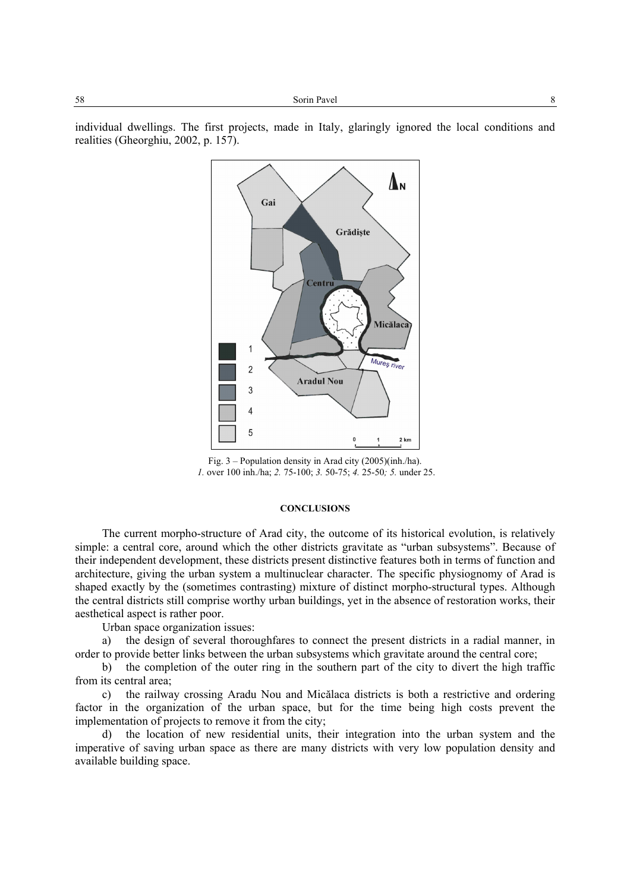individual dwellings. The first projects, made in Italy, glaringly ignored the local conditions and realities (Gheorghiu, 2002, p. 157).



Fig. 3 – Population density in Arad city (2005)(inh./ha).  *1.* over 100 inh./ha; *2.* 75-100; *3.* 50-75; *4.* 25-50*; 5.* under 25.

#### **CONCLUSIONS**

The current morpho-structure of Arad city, the outcome of its historical evolution, is relatively simple: a central core, around which the other districts gravitate as "urban subsystems". Because of their independent development, these districts present distinctive features both in terms of function and architecture, giving the urban system a multinuclear character. The specific physiognomy of Arad is shaped exactly by the (sometimes contrasting) mixture of distinct morpho-structural types. Although the central districts still comprise worthy urban buildings, yet in the absence of restoration works, their aesthetical aspect is rather poor.

Urban space organization issues:

a) the design of several thoroughfares to connect the present districts in a radial manner, in order to provide better links between the urban subsystems which gravitate around the central core;

b) the completion of the outer ring in the southern part of the city to divert the high traffic from its central area;

c) the railway crossing Aradu Nou and Micălaca districts is both a restrictive and ordering factor in the organization of the urban space, but for the time being high costs prevent the implementation of projects to remove it from the city;

d) the location of new residential units, their integration into the urban system and the imperative of saving urban space as there are many districts with very low population density and available building space.